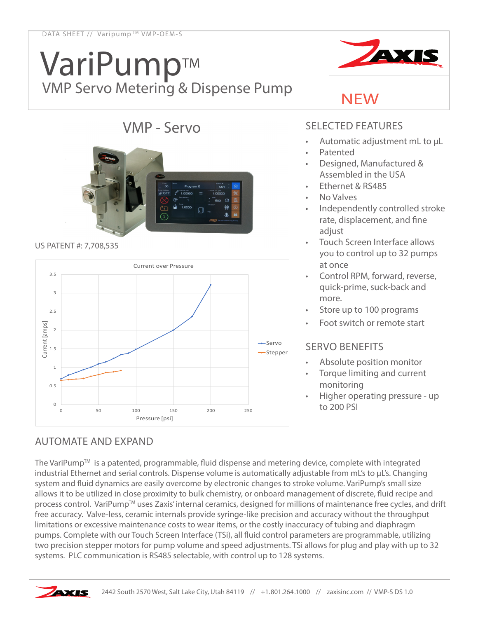# VariPumpTM VMP Servo Metering & Dispense Pump



# VMP - Servo



#### US PATENT #: 7,708,535



#### SELECTED FEATURES

NEW

- Automatic adjustment mL to µL
- **Patented**
- Designed, Manufactured & Assembled in the USA
- Ethernet & RS485
- No Valves
- Independently controlled stroke rate, displacement, and fine adjust
- Touch Screen Interface allows you to control up to 32 pumps at once
- Control RPM, forward, reverse, quick-prime, suck-back and more.
- Store up to 100 programs
- Foot switch or remote start

## SERVO BENEFITS

- Absolute position monitor
- Torque limiting and current monitoring
- Higher operating pressure up

## AUTOMATE AND EXPAND

The VariPump<sup>™</sup> is a patented, programmable, fluid dispense and metering device, complete with integrated industrial Ethernet and serial controls. Dispense volume is automatically adjustable from mL's to µL's. Changing system and fluid dynamics are easily overcome by electronic changes to stroke volume. VariPump's small size allows it to be utilized in close proximity to bulk chemistry, or onboard management of discrete, fluid recipe and process control. VariPump<sup>TM</sup> uses Zaxis' internal ceramics, designed for millions of maintenance free cycles, and drift free accuracy. Valve-less, ceramic internals provide syringe-like precision and accuracy without the throughput limitations or excessive maintenance costs to wear items, or the costly inaccuracy of tubing and diaphragm pumps. Complete with our Touch Screen Interface (TSi), all fluid control parameters are programmable, utilizing two precision stepper motors for pump volume and speed adjustments. TSi allows for plug and play with up to 32 systems. PLC communication is RS485 selectable, with control up to 128 systems.